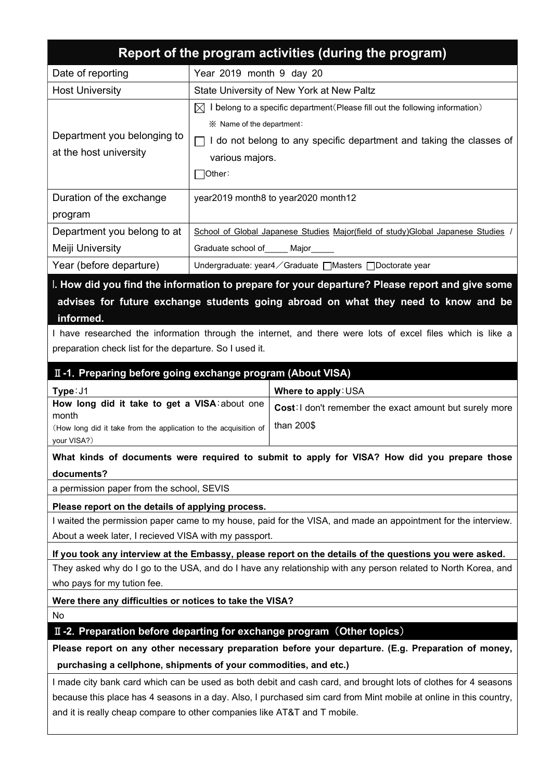| Report of the program activities (during the program)                                                                                                                  |                                                                                   |                                                                                                                   |  |  |  |  |
|------------------------------------------------------------------------------------------------------------------------------------------------------------------------|-----------------------------------------------------------------------------------|-------------------------------------------------------------------------------------------------------------------|--|--|--|--|
| Date of reporting                                                                                                                                                      | Year 2019 month 9 day 20                                                          |                                                                                                                   |  |  |  |  |
| <b>Host University</b>                                                                                                                                                 | State University of New York at New Paltz                                         |                                                                                                                   |  |  |  |  |
|                                                                                                                                                                        | IXL                                                                               | I belong to a specific department (Please fill out the following information)                                     |  |  |  |  |
|                                                                                                                                                                        | iim X Name of the department:                                                     |                                                                                                                   |  |  |  |  |
| Department you belonging to                                                                                                                                            | $\Box$ I do not belong to any specific department and taking the classes of       |                                                                                                                   |  |  |  |  |
| at the host university                                                                                                                                                 | various majors.                                                                   |                                                                                                                   |  |  |  |  |
|                                                                                                                                                                        | Other:                                                                            |                                                                                                                   |  |  |  |  |
| Duration of the exchange                                                                                                                                               | year2019 month8 to year2020 month12                                               |                                                                                                                   |  |  |  |  |
| program                                                                                                                                                                |                                                                                   |                                                                                                                   |  |  |  |  |
| Department you belong to at                                                                                                                                            | School of Global Japanese Studies Major(field of study) Global Japanese Studies / |                                                                                                                   |  |  |  |  |
| Meiji University                                                                                                                                                       | Graduate school of _____ Major _____                                              |                                                                                                                   |  |  |  |  |
| Year (before departure)                                                                                                                                                |                                                                                   | Undergraduate: year4 / Graduate   Masters   Doctorate year                                                        |  |  |  |  |
|                                                                                                                                                                        |                                                                                   | I. How did you find the information to prepare for your departure? Please report and give some                    |  |  |  |  |
|                                                                                                                                                                        |                                                                                   | advises for future exchange students going abroad on what they need to know and be                                |  |  |  |  |
| informed.                                                                                                                                                              |                                                                                   |                                                                                                                   |  |  |  |  |
|                                                                                                                                                                        |                                                                                   | I have researched the information through the internet, and there were lots of excel files which is like a        |  |  |  |  |
| preparation check list for the departure. So I used it.                                                                                                                |                                                                                   |                                                                                                                   |  |  |  |  |
| II-1. Preparing before going exchange program (About VISA)                                                                                                             |                                                                                   |                                                                                                                   |  |  |  |  |
| Type: J1                                                                                                                                                               |                                                                                   | Where to apply: USA                                                                                               |  |  |  |  |
| How long did it take to get a VISA: about one                                                                                                                          |                                                                                   | <b>Cost:</b> I don't remember the exact amount but surely more                                                    |  |  |  |  |
| month<br>(How long did it take from the application to the acquisition of                                                                                              |                                                                                   | than 200\$                                                                                                        |  |  |  |  |
| your VISA?)                                                                                                                                                            |                                                                                   |                                                                                                                   |  |  |  |  |
| What kinds of documents were required to submit to apply for VISA? How did you prepare those                                                                           |                                                                                   |                                                                                                                   |  |  |  |  |
| documents?                                                                                                                                                             |                                                                                   |                                                                                                                   |  |  |  |  |
| a permission paper from the school, SEVIS                                                                                                                              |                                                                                   |                                                                                                                   |  |  |  |  |
| Please report on the details of applying process.                                                                                                                      |                                                                                   |                                                                                                                   |  |  |  |  |
| I waited the permission paper came to my house, paid for the VISA, and made an appointment for the interview.<br>About a week later, I recieved VISA with my passport. |                                                                                   |                                                                                                                   |  |  |  |  |
| If you took any interview at the Embassy, please report on the details of the questions you were asked.                                                                |                                                                                   |                                                                                                                   |  |  |  |  |
| They asked why do I go to the USA, and do I have any relationship with any person related to North Korea, and                                                          |                                                                                   |                                                                                                                   |  |  |  |  |
| who pays for my tution fee.                                                                                                                                            |                                                                                   |                                                                                                                   |  |  |  |  |
| Were there any difficulties or notices to take the VISA?                                                                                                               |                                                                                   |                                                                                                                   |  |  |  |  |
| No                                                                                                                                                                     |                                                                                   |                                                                                                                   |  |  |  |  |
| II -2. Preparation before departing for exchange program (Other topics)                                                                                                |                                                                                   |                                                                                                                   |  |  |  |  |
| Please report on any other necessary preparation before your departure. (E.g. Preparation of money,                                                                    |                                                                                   |                                                                                                                   |  |  |  |  |
| purchasing a cellphone, shipments of your commodities, and etc.)                                                                                                       |                                                                                   |                                                                                                                   |  |  |  |  |
| I made city bank card which can be used as both debit and cash card, and brought lots of clothes for 4 seasons                                                         |                                                                                   |                                                                                                                   |  |  |  |  |
|                                                                                                                                                                        |                                                                                   | because this place has 4 seasons in a day. Also, I purchased sim card from Mint mobile at online in this country, |  |  |  |  |
| and it is really cheap compare to other companies like AT&T and T mobile.                                                                                              |                                                                                   |                                                                                                                   |  |  |  |  |
|                                                                                                                                                                        |                                                                                   |                                                                                                                   |  |  |  |  |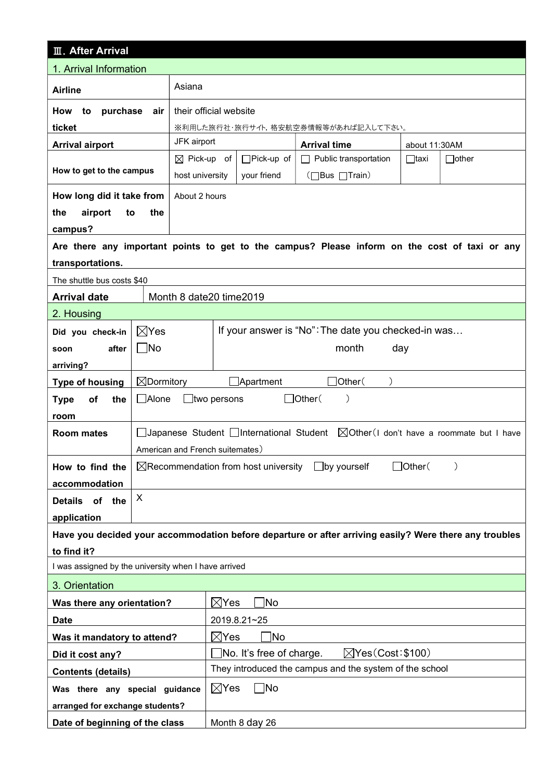| <b>III. After Arrival</b>                            |                                                                                                                |                                           |                                                          |                                                                                                        |             |              |  |  |
|------------------------------------------------------|----------------------------------------------------------------------------------------------------------------|-------------------------------------------|----------------------------------------------------------|--------------------------------------------------------------------------------------------------------|-------------|--------------|--|--|
| 1. Arrival Information                               |                                                                                                                |                                           |                                                          |                                                                                                        |             |              |  |  |
| <b>Airline</b>                                       |                                                                                                                | Asiana                                    |                                                          |                                                                                                        |             |              |  |  |
| purchase<br>How<br>to                                | their official website                                                                                         |                                           |                                                          |                                                                                                        |             |              |  |  |
| ticket                                               |                                                                                                                |                                           | ※利用した旅行社・旅行サイト,格安航空券情報等があれば記入して下さい。                      |                                                                                                        |             |              |  |  |
| <b>Arrival airport</b>                               | JFK airport                                                                                                    |                                           | <b>Arrival time</b>                                      | about 11:30AM                                                                                          |             |              |  |  |
| How to get to the campus                             |                                                                                                                | $\boxtimes$ Pick-up of<br>host university | $\Box$ Pick-up of<br>your friend                         | $\Box$ Public transportation<br>(□Bus □Train)                                                          | $\Box$ taxi | $\Box$ other |  |  |
| How long did it take from                            |                                                                                                                | About 2 hours                             |                                                          |                                                                                                        |             |              |  |  |
| airport<br>the<br>to                                 | the                                                                                                            |                                           |                                                          |                                                                                                        |             |              |  |  |
| campus?                                              |                                                                                                                |                                           |                                                          |                                                                                                        |             |              |  |  |
|                                                      |                                                                                                                |                                           |                                                          | Are there any important points to get to the campus? Please inform on the cost of taxi or any          |             |              |  |  |
| transportations.                                     |                                                                                                                |                                           |                                                          |                                                                                                        |             |              |  |  |
| The shuttle bus costs \$40                           |                                                                                                                |                                           |                                                          |                                                                                                        |             |              |  |  |
| <b>Arrival date</b>                                  |                                                                                                                | Month 8 date 20 time 2019                 |                                                          |                                                                                                        |             |              |  |  |
| 2. Housing                                           |                                                                                                                |                                           |                                                          |                                                                                                        |             |              |  |  |
| Did you check-in                                     | If your answer is "No": The date you checked-in was<br>$\boxtimes$ Yes                                         |                                           |                                                          |                                                                                                        |             |              |  |  |
| after<br>soon                                        | $\Box$ No<br>month<br>day                                                                                      |                                           |                                                          |                                                                                                        |             |              |  |  |
| arriving?                                            |                                                                                                                |                                           |                                                          |                                                                                                        |             |              |  |  |
| <b>Type of housing</b>                               | $\boxtimes$ Dormitory<br>]Other(<br>$\Box$ Apartment                                                           |                                           |                                                          |                                                                                                        |             |              |  |  |
| of<br>the<br><b>Type</b>                             | $\Box$ Other(<br>$\Box$ Alone<br>$\Box$ two persons                                                            |                                           |                                                          |                                                                                                        |             |              |  |  |
| room                                                 |                                                                                                                |                                           |                                                          |                                                                                                        |             |              |  |  |
| <b>Room mates</b>                                    | □Japanese Student □International Student   △Other (I don't have a roommate but I have                          |                                           |                                                          |                                                                                                        |             |              |  |  |
|                                                      | American and French suitemates)                                                                                |                                           |                                                          |                                                                                                        |             |              |  |  |
| How to find the                                      | $\boxtimes$ Recommendation from host university<br>$\Box$ Other $\land$<br>$\Box$ by yourself<br>$\mathcal{E}$ |                                           |                                                          |                                                                                                        |             |              |  |  |
| accommodation                                        |                                                                                                                |                                           |                                                          |                                                                                                        |             |              |  |  |
| Details of the                                       | X                                                                                                              |                                           |                                                          |                                                                                                        |             |              |  |  |
| application                                          |                                                                                                                |                                           |                                                          |                                                                                                        |             |              |  |  |
|                                                      |                                                                                                                |                                           |                                                          | Have you decided your accommodation before departure or after arriving easily? Were there any troubles |             |              |  |  |
| to find it?                                          |                                                                                                                |                                           |                                                          |                                                                                                        |             |              |  |  |
| I was assigned by the university when I have arrived |                                                                                                                |                                           |                                                          |                                                                                                        |             |              |  |  |
| 3. Orientation                                       |                                                                                                                |                                           |                                                          |                                                                                                        |             |              |  |  |
| Was there any orientation?                           |                                                                                                                |                                           | No<br>$\bowtie$ Yes                                      |                                                                                                        |             |              |  |  |
| <b>Date</b>                                          |                                                                                                                |                                           | 2019.8.21~25                                             |                                                                                                        |             |              |  |  |
| Was it mandatory to attend?                          |                                                                                                                |                                           | Mo]<br>$\boxtimes$ Yes                                   |                                                                                                        |             |              |  |  |
| Did it cost any?                                     |                                                                                                                |                                           | $\sqrt{Y}$ Yes (Cost: \$100)<br>No. It's free of charge. |                                                                                                        |             |              |  |  |
| <b>Contents (details)</b>                            |                                                                                                                |                                           | They introduced the campus and the system of the school  |                                                                                                        |             |              |  |  |
| Was there any special guidance                       |                                                                                                                | $\boxtimes$ Yes<br>$\Box$ No              |                                                          |                                                                                                        |             |              |  |  |
| arranged for exchange students?                      |                                                                                                                |                                           |                                                          |                                                                                                        |             |              |  |  |
| Date of beginning of the class                       |                                                                                                                | Month 8 day 26                            |                                                          |                                                                                                        |             |              |  |  |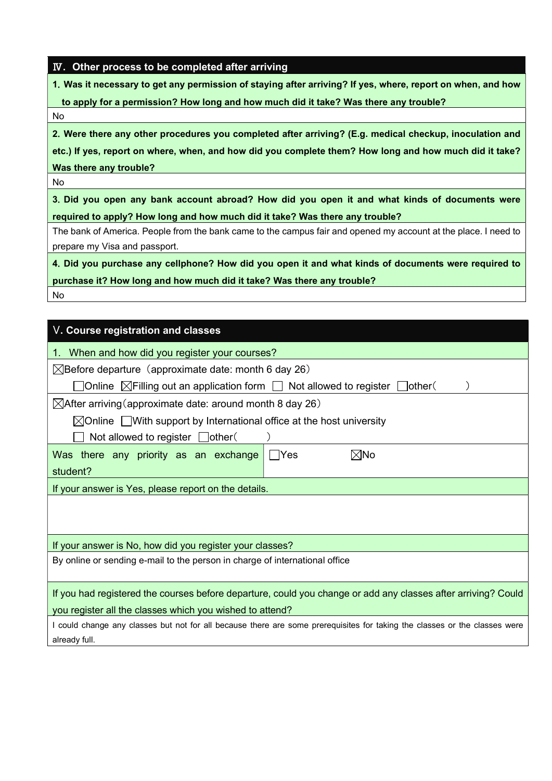## Ⅳ. Other process to be completed after arriving

1.Was it necessary to get any permission of staying after arriving? If yes, where, report on when, and how

to apply for a permission? How long and how much did it take? Was there any trouble?

No

2.Were there any other procedures you completed after arriving? (E.g. medical checkup, inoculation and

etc.) If yes, report on where, when, and how did you complete them? How long and how much did it take? Was there any trouble?

No

3.Did you open any bank account abroad? How did you open it and what kinds of documents were required to apply? How long and how much did it take? Was there any trouble?

The bank of America. People from the bank came to the campus fair and opened my account at the place. I need to prepare my Visa and passport.

4.Did you purchase any cellphone? How did you open it and what kinds of documents were required to purchase it? How long and how much did it take? Was there any trouble?

No

| V. Course registration and classes                                                                                             |  |  |  |  |  |  |
|--------------------------------------------------------------------------------------------------------------------------------|--|--|--|--|--|--|
| 1. When and how did you register your courses?                                                                                 |  |  |  |  |  |  |
| $\boxtimes$ Before departure (approximate date: month 6 day 26)                                                                |  |  |  |  |  |  |
| ]Online $\boxtimes$ Filling out an application form $\Box$ Not allowed to register $\Box$ other(                               |  |  |  |  |  |  |
| $\boxtimes$ After arriving(approximate date: around month 8 day 26)                                                            |  |  |  |  |  |  |
| $\boxtimes$ Online $\Box$ With support by International office at the host university<br>Not allowed to register $\Box$ other( |  |  |  |  |  |  |
| ⊠No<br>Was there any priority as an exchange<br>l lYes<br>student?                                                             |  |  |  |  |  |  |
| If your answer is Yes, please report on the details.                                                                           |  |  |  |  |  |  |
|                                                                                                                                |  |  |  |  |  |  |
| If your answer is No, how did you register your classes?                                                                       |  |  |  |  |  |  |
| By online or sending e-mail to the person in charge of international office                                                    |  |  |  |  |  |  |
| If you had registered the courses before departure, could you change or add any classes after arriving? Could                  |  |  |  |  |  |  |
| you register all the classes which you wished to attend?                                                                       |  |  |  |  |  |  |
| I could change any classes but not for all because there are some prerequisites for taking the classes or the classes were     |  |  |  |  |  |  |
| already full.                                                                                                                  |  |  |  |  |  |  |